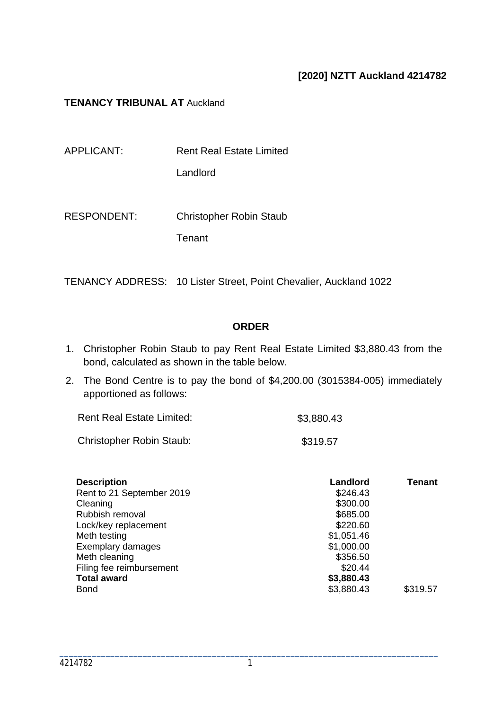## **[2020] NZTT Auckland 4214782**

### **TENANCY TRIBUNAL AT Auckland**

| APPLICANT:  | <b>Rent Real Estate Limited</b> |
|-------------|---------------------------------|
|             | Landlord                        |
|             |                                 |
| RESPONDENT: | <b>Christopher Robin Staub</b>  |

**Tenant** 

TENANCY ADDRESS: 10 Lister Street, Point Chevalier, Auckland 1022

## **ORDER**

- 1. Christopher Robin Staub to pay Rent Real Estate Limited \$3,880.43 from the bond, calculated as shown in the table below.
- 2. The Bond Centre is to pay the bond of \$4,200.00 (3015384-005) immediately apportioned as follows:

| <b>Rent Real Estate Limited:</b> | \$3,880.43 |  |
|----------------------------------|------------|--|
| <b>Christopher Robin Staub:</b>  | \$319.57   |  |

| <b>Description</b>        | Landlord   | <b>Tenant</b> |
|---------------------------|------------|---------------|
| Rent to 21 September 2019 | \$246.43   |               |
| Cleaning                  | \$300.00   |               |
| Rubbish removal           | \$685.00   |               |
| Lock/key replacement      | \$220.60   |               |
| Meth testing              | \$1,051.46 |               |
| Exemplary damages         | \$1,000.00 |               |
| Meth cleaning             | \$356.50   |               |
| Filing fee reimbursement  | \$20.44    |               |
| <b>Total award</b>        | \$3,880.43 |               |
| <b>Bond</b>               | \$3,880.43 | \$319.57      |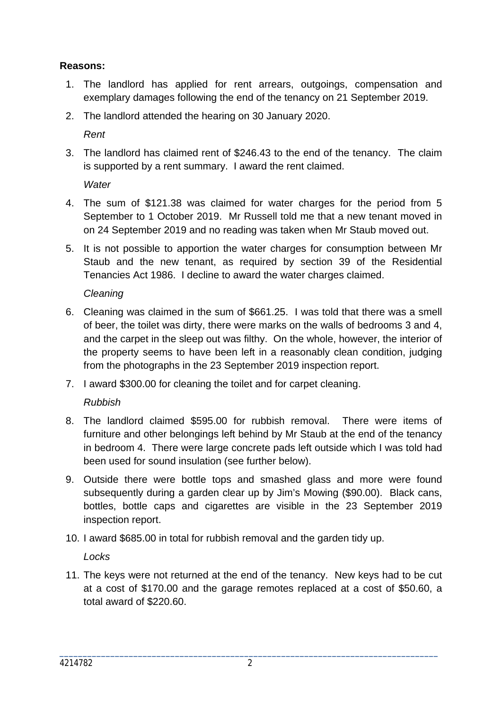# **Reasons:**

- 1. The landlord has applied for rent arrears, outgoings, compensation and exemplary damages following the end of the tenancy on 21 September 2019.
- 2. The landlord attended the hearing on 30 January 2020.

*Rent*

3. The landlord has claimed rent of \$246.43 to the end of the tenancy. The claim is supported by a rent summary. I award the rent claimed.

*Water*

- 4. The sum of \$121.38 was claimed for water charges for the period from 5 September to 1 October 2019. Mr Russell told me that a new tenant moved in on 24 September 2019 and no reading was taken when Mr Staub moved out.
- 5. It is not possible to apportion the water charges for consumption between Mr Staub and the new tenant, as required by section 39 of the Residential Tenancies Act 1986. I decline to award the water charges claimed.

*Cleaning*

- 6. Cleaning was claimed in the sum of \$661.25. I was told that there was a smell of beer, the toilet was dirty, there were marks on the walls of bedrooms 3 and 4, and the carpet in the sleep out was filthy. On the whole, however, the interior of the property seems to have been left in a reasonably clean condition, judging from the photographs in the 23 September 2019 inspection report.
- 7. I award \$300.00 for cleaning the toilet and for carpet cleaning.

*Rubbish*

- 8. The landlord claimed \$595.00 for rubbish removal. There were items of furniture and other belongings left behind by Mr Staub at the end of the tenancy in bedroom 4. There were large concrete pads left outside which I was told had been used for sound insulation (see further below).
- 9. Outside there were bottle tops and smashed glass and more were found subsequently during a garden clear up by Jim's Mowing (\$90.00). Black cans, bottles, bottle caps and cigarettes are visible in the 23 September 2019 inspection report.
- 10. I award \$685.00 in total for rubbish removal and the garden tidy up.

*Locks*

11. The keys were not returned at the end of the tenancy. New keys had to be cut at a cost of \$170.00 and the garage remotes replaced at a cost of \$50.60, a total award of \$220.60.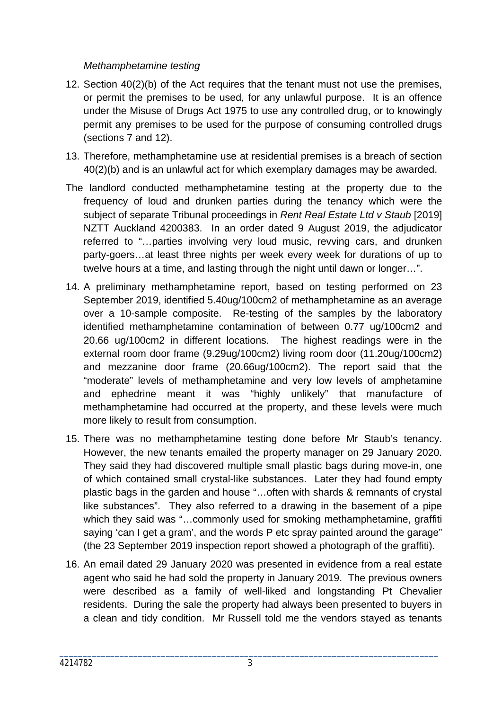## *Methamphetamine testing*

- 12. Section 40(2)(b) of the Act requires that the tenant must not use the premises, or permit the premises to be used, for any unlawful purpose. It is an offence under the Misuse of Drugs Act 1975 to use any controlled drug, or to knowingly permit any premises to be used for the purpose of consuming controlled drugs (sections 7 and 12).
- 13. Therefore, methamphetamine use at residential premises is a breach of section 40(2)(b) and is an unlawful act for which exemplary damages may be awarded.
- The landlord conducted methamphetamine testing at the property due to the frequency of loud and drunken parties during the tenancy which were the subject of separate Tribunal proceedings in *Rent Real Estate Ltd v Staub* [2019] NZTT Auckland 4200383. In an order dated 9 August 2019, the adjudicator referred to "…parties involving very loud music, revving cars, and drunken party-goers…at least three nights per week every week for durations of up to twelve hours at a time, and lasting through the night until dawn or longer…".
- 14. A preliminary methamphetamine report, based on testing performed on 23 September 2019, identified 5.40ug/100cm2 of methamphetamine as an average over a 10-sample composite. Re-testing of the samples by the laboratory identified methamphetamine contamination of between 0.77 ug/100cm2 and 20.66 ug/100cm2 in different locations. The highest readings were in the external room door frame (9.29ug/100cm2) living room door (11.20ug/100cm2) and mezzanine door frame (20.66ug/100cm2). The report said that the "moderate" levels of methamphetamine and very low levels of amphetamine and ephedrine meant it was "highly unlikely" that manufacture of methamphetamine had occurred at the property, and these levels were much more likely to result from consumption.
- 15. There was no methamphetamine testing done before Mr Staub's tenancy. However, the new tenants emailed the property manager on 29 January 2020. They said they had discovered multiple small plastic bags during move-in, one of which contained small crystal-like substances. Later they had found empty plastic bags in the garden and house "…often with shards & remnants of crystal like substances". They also referred to a drawing in the basement of a pipe which they said was "...commonly used for smoking methamphetamine, graffiti saying 'can I get a gram', and the words P etc spray painted around the garage" (the 23 September 2019 inspection report showed a photograph of the graffiti).
- 16. An email dated 29 January 2020 was presented in evidence from a real estate agent who said he had sold the property in January 2019. The previous owners were described as a family of well-liked and longstanding Pt Chevalier residents. During the sale the property had always been presented to buyers in a clean and tidy condition. Mr Russell told me the vendors stayed as tenants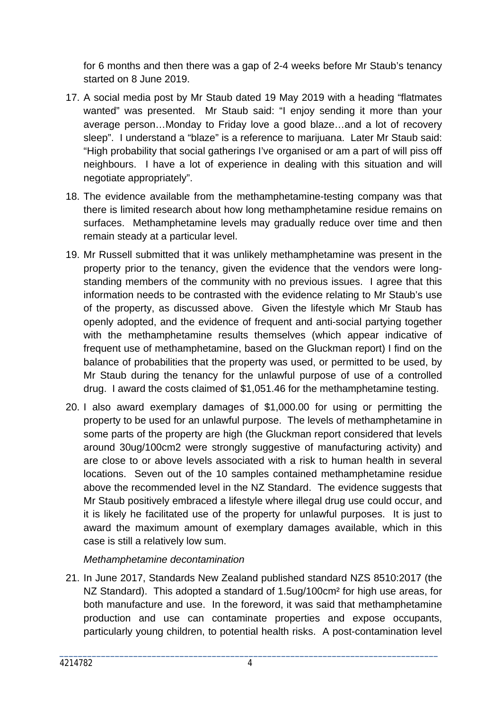for 6 months and then there was a gap of 2-4 weeks before Mr Staub's tenancy started on 8 June 2019.

- 17. A social media post by Mr Staub dated 19 May 2019 with a heading "flatmates wanted" was presented. Mr Staub said: "I enjoy sending it more than your average person…Monday to Friday love a good blaze…and a lot of recovery sleep". I understand a "blaze" is a reference to marijuana. Later Mr Staub said: "High probability that social gatherings I've organised or am a part of will piss off neighbours. I have a lot of experience in dealing with this situation and will negotiate appropriately".
- 18. The evidence available from the methamphetamine-testing company was that there is limited research about how long methamphetamine residue remains on surfaces. Methamphetamine levels may gradually reduce over time and then remain steady at a particular level.
- 19. Mr Russell submitted that it was unlikely methamphetamine was present in the property prior to the tenancy, given the evidence that the vendors were longstanding members of the community with no previous issues. I agree that this information needs to be contrasted with the evidence relating to Mr Staub's use of the property, as discussed above. Given the lifestyle which Mr Staub has openly adopted, and the evidence of frequent and anti-social partying together with the methamphetamine results themselves (which appear indicative of frequent use of methamphetamine, based on the Gluckman report) I find on the balance of probabilities that the property was used, or permitted to be used, by Mr Staub during the tenancy for the unlawful purpose of use of a controlled drug. I award the costs claimed of \$1,051.46 for the methamphetamine testing.
- 20. I also award exemplary damages of \$1,000.00 for using or permitting the property to be used for an unlawful purpose. The levels of methamphetamine in some parts of the property are high (the Gluckman report considered that levels around 30ug/100cm2 were strongly suggestive of manufacturing activity) and are close to or above levels associated with a risk to human health in several locations. Seven out of the 10 samples contained methamphetamine residue above the recommended level in the NZ Standard. The evidence suggests that Mr Staub positively embraced a lifestyle where illegal drug use could occur, and it is likely he facilitated use of the property for unlawful purposes. It is just to award the maximum amount of exemplary damages available, which in this case is still a relatively low sum.

# *Methamphetamine decontamination*

21. In June 2017, Standards New Zealand published standard NZS 8510:2017 (the NZ Standard). This adopted a standard of 1.5ug/100cm<sup>2</sup> for high use areas, for both manufacture and use. In the foreword, it was said that methamphetamine production and use can contaminate properties and expose occupants, particularly young children, to potential health risks. A post-contamination level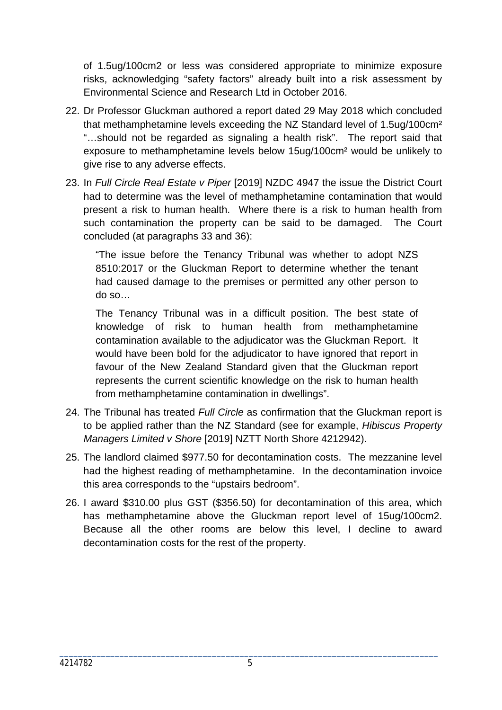of 1.5ug/100cm2 or less was considered appropriate to minimize exposure risks, acknowledging "safety factors" already built into a risk assessment by Environmental Science and Research Ltd in October 2016.

- 22. Dr Professor Gluckman authored a report dated 29 May 2018 which concluded that methamphetamine levels exceeding the NZ Standard level of 1.5ug/100cm² "…should not be regarded as signaling a health risk". The report said that exposure to methamphetamine levels below 15ug/100cm² would be unlikely to give rise to any adverse effects.
- 23. In *Full Circle Real Estate v Piper* [2019] NZDC 4947 the issue the District Court had to determine was the level of methamphetamine contamination that would present a risk to human health. Where there is a risk to human health from such contamination the property can be said to be damaged. The Court concluded (at paragraphs 33 and 36):

"The issue before the Tenancy Tribunal was whether to adopt NZS 8510:2017 or the Gluckman Report to determine whether the tenant had caused damage to the premises or permitted any other person to do so…

The Tenancy Tribunal was in a difficult position. The best state of knowledge of risk to human health from methamphetamine contamination available to the adjudicator was the Gluckman Report. It would have been bold for the adjudicator to have ignored that report in favour of the New Zealand Standard given that the Gluckman report represents the current scientific knowledge on the risk to human health from methamphetamine contamination in dwellings".

- 24. The Tribunal has treated *Full Circle* as confirmation that the Gluckman report is to be applied rather than the NZ Standard (see for example, *Hibiscus Property Managers Limited v Shore* [2019] NZTT North Shore 4212942).
- 25. The landlord claimed \$977.50 for decontamination costs. The mezzanine level had the highest reading of methamphetamine. In the decontamination invoice this area corresponds to the "upstairs bedroom".
- 26. I award \$310.00 plus GST (\$356.50) for decontamination of this area, which has methamphetamine above the Gluckman report level of 15ug/100cm2. Because all the other rooms are below this level, I decline to award decontamination costs for the rest of the property.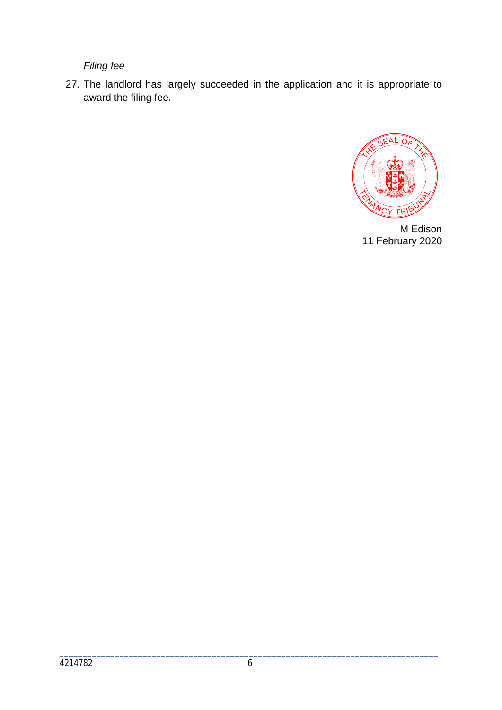*Filing fee*

27. The landlord has largely succeeded in the application and it is appropriate to award the filing fee.



M Edison 11 February 2020